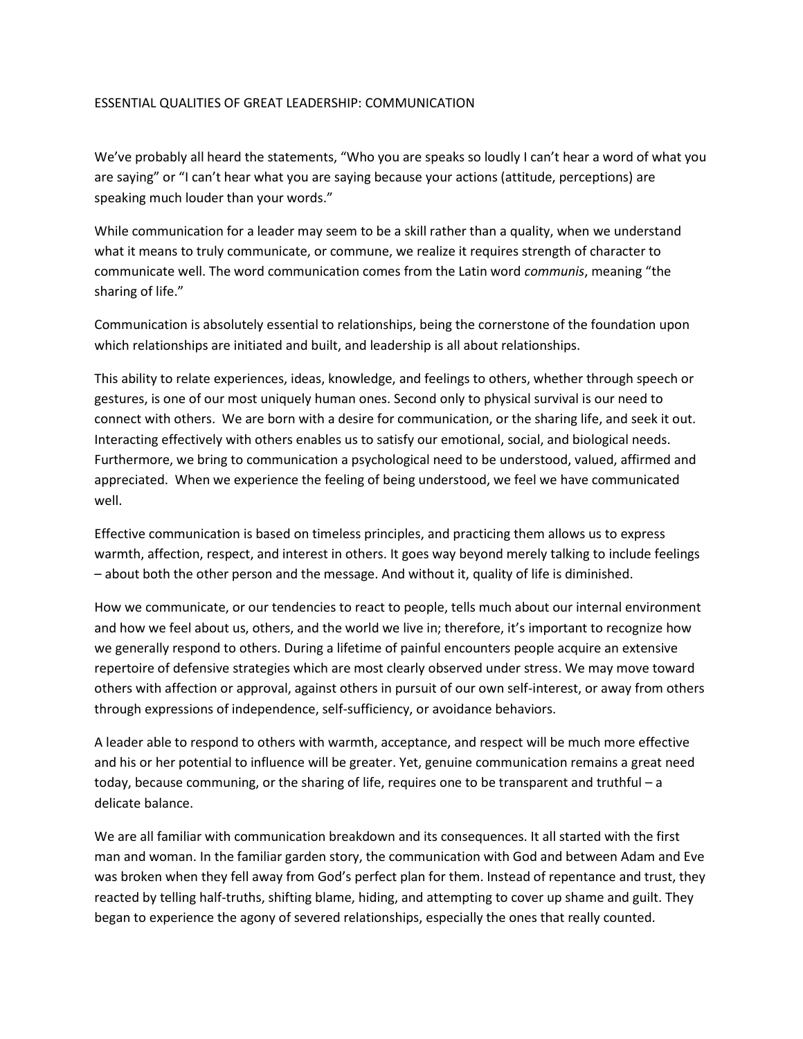## ESSENTIAL QUALITIES OF GREAT LEADERSHIP: COMMUNICATION

We've probably all heard the statements, "Who you are speaks so loudly I can't hear a word of what you are saying" or "I can't hear what you are saying because your actions (attitude, perceptions) are speaking much louder than your words."

While communication for a leader may seem to be a skill rather than a quality, when we understand what it means to truly communicate, or commune, we realize it requires strength of character to communicate well. The word communication comes from the Latin word *communis*, meaning "the sharing of life."

Communication is absolutely essential to relationships, being the cornerstone of the foundation upon which relationships are initiated and built, and leadership is all about relationships.

This ability to relate experiences, ideas, knowledge, and feelings to others, whether through speech or gestures, is one of our most uniquely human ones. Second only to physical survival is our need to connect with others. We are born with a desire for communication, or the sharing life, and seek it out. Interacting effectively with others enables us to satisfy our emotional, social, and biological needs. Furthermore, we bring to communication a psychological need to be understood, valued, affirmed and appreciated. When we experience the feeling of being understood, we feel we have communicated well.

Effective communication is based on timeless principles, and practicing them allows us to express warmth, affection, respect, and interest in others. It goes way beyond merely talking to include feelings – about both the other person and the message. And without it, quality of life is diminished.

How we communicate, or our tendencies to react to people, tells much about our internal environment and how we feel about us, others, and the world we live in; therefore, it's important to recognize how we generally respond to others. During a lifetime of painful encounters people acquire an extensive repertoire of defensive strategies which are most clearly observed under stress. We may move toward others with affection or approval, against others in pursuit of our own self-interest, or away from others through expressions of independence, self-sufficiency, or avoidance behaviors.

A leader able to respond to others with warmth, acceptance, and respect will be much more effective and his or her potential to influence will be greater. Yet, genuine communication remains a great need today, because communing, or the sharing of life, requires one to be transparent and truthful – a delicate balance.

We are all familiar with communication breakdown and its consequences. It all started with the first man and woman. In the familiar garden story, the communication with God and between Adam and Eve was broken when they fell away from God's perfect plan for them. Instead of repentance and trust, they reacted by telling half-truths, shifting blame, hiding, and attempting to cover up shame and guilt. They began to experience the agony of severed relationships, especially the ones that really counted.